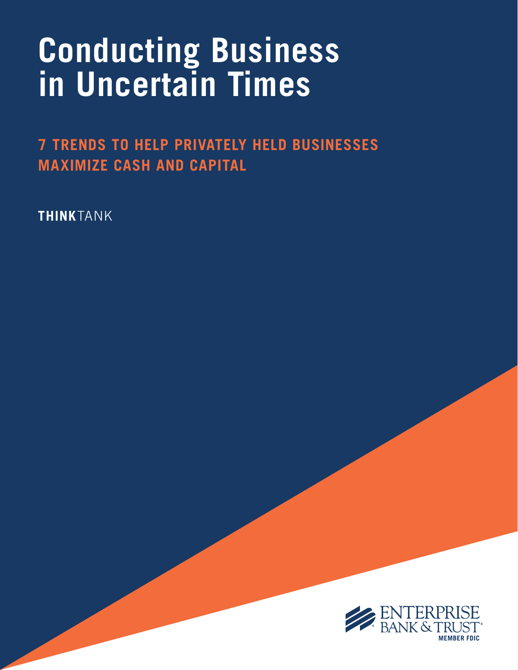# **Conducting Business in Uncertain Times**

**7 TRENDS TO HELP PRIVATELY HELD BUSINESSES MAXIMIZE CASH AND CAPITAL**

**THINK**TANK

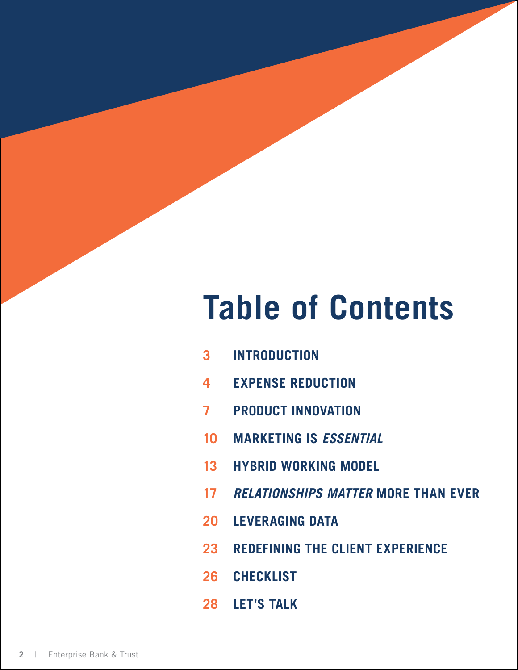# **Table of Contents**

- **[INTRODUCTION](#page-2-0)**
- **[EXPENSE REDUCTION](#page-3-0)**
- **[PRODUCT INNOVATION](#page-6-0)**
- **[MARKETING IS](#page-9-0)** *ESSENTIAL*
- **[HYBRID WORKING MODEL](#page-12-0)**
- *[RELATIONSHIPS MATTER](#page-16-0)* **MORE THAN EVER**
- **[LEVERAGING DATA](#page-19-0)**
- **[REDEFINING THE CLIENT EXPERIENCE](#page-22-0)**
- **[CHECKLIST](#page-25-0)**
- **[LET'S TALK](#page-27-0)**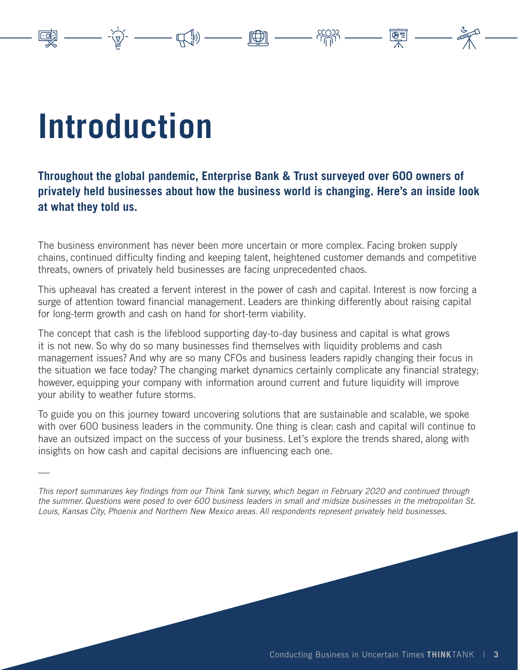# **Introduction**

—

#### **Throughout the global pandemic, Enterprise Bank & Trust surveyed over 600 owners of privately held businesses about how the business world is changing. Here's an inside look at what they told us.**

<span id="page-2-0"></span> $\frac{1}{2} \frac{1}{2} \frac{1}{2} \frac{1}{2} \frac{1}{2} \frac{1}{2} \frac{1}{2} \frac{1}{2} \frac{1}{2} \frac{1}{2} \frac{1}{2} \frac{1}{2} \frac{1}{2} \frac{1}{2} \frac{1}{2} \frac{1}{2} \frac{1}{2} \frac{1}{2} \frac{1}{2} \frac{1}{2} \frac{1}{2} \frac{1}{2} \frac{1}{2} \frac{1}{2} \frac{1}{2} \frac{1}{2} \frac{1}{2} \frac{1}{2} \frac{1}{2} \frac{1}{2} \frac{1}{2} \frac{$ 

The business environment has never been more uncertain or more complex. Facing broken supply chains, continued difficulty finding and keeping talent, heightened customer demands and competitive threats, owners of privately held businesses are facing unprecedented chaos.

This upheaval has created a fervent interest in the power of cash and capital. Interest is now forcing a surge of attention toward financial management. Leaders are thinking differently about raising capital for long-term growth and cash on hand for short-term viability.

The concept that cash is the lifeblood supporting day-to-day business and capital is what grows it is not new. So why do so many businesses find themselves with liquidity problems and cash management issues? And why are so many CFOs and business leaders rapidly changing their focus in the situation we face today? The changing market dynamics certainly complicate any financial strategy; however, equipping your company with information around current and future liquidity will improve your ability to weather future storms.

To guide you on this journey toward uncovering solutions that are sustainable and scalable, we spoke with over 600 business leaders in the community. One thing is clear: cash and capital will continue to have an outsized impact on the success of your business. Let's explore the trends shared, along with insights on how cash and capital decisions are influencing each one.

This report summarizes key findings from our Think Tank survey, which began in February 2020 and continued through the summer. Questions were posed to over 600 business leaders in small and midsize businesses in the metropolitan St. Louis, Kansas City, Phoenix and Northern New Mexico areas. All respondents represent privately held businesses.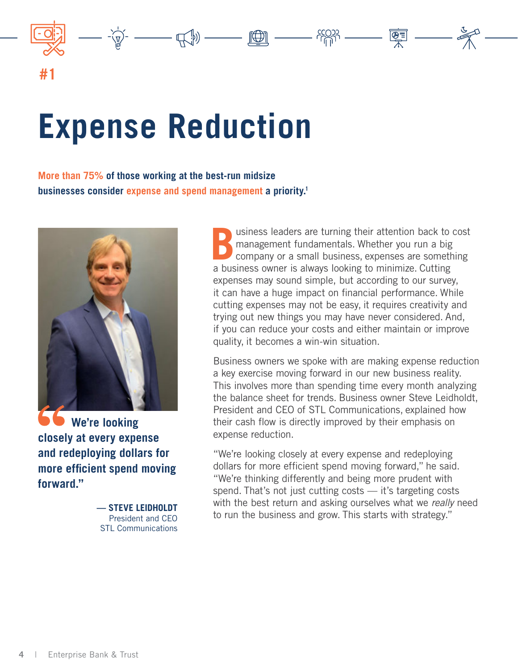<span id="page-3-0"></span>

# **Expense Reduction**

**More than 75% of those working at the best-run midsize businesses consider expense and spend management a priority.1**



**We're looking closely at every expense and redeploying dollars for more efficient spend moving forward."**

> **— STEVE LEIDHOLDT** President and CEO STL Communications

**B**usiness leaders are turning their attention back to cost management fundamentals. Whether you run a big company or a small business, expenses are something a business owner is always looking to minimize. Cutting expenses may sound simple, but according to our survey, it can have a huge impact on financial performance. While cutting expenses may not be easy, it requires creativity and trying out new things you may have never considered. And, if you can reduce your costs and either maintain or improve quality, it becomes a win-win situation.

 $\frac{1}{2} \left( \frac{1}{2} \right)^{2} \left( \frac{1}{2} \right)^{2} \left( \frac{1}{2} \right)^{2} \left( \frac{1}{2} \right)^{2} \left( \frac{1}{2} \right)^{2} \left( \frac{1}{2} \right)^{2} \left( \frac{1}{2} \right)^{2} \left( \frac{1}{2} \right)^{2} \left( \frac{1}{2} \right)^{2} \left( \frac{1}{2} \right)^{2} \left( \frac{1}{2} \right)^{2} \left( \frac{1}{2} \right)^{2} \left( \frac{1}{2} \right)^{2} \left( \frac$ 

Business owners we spoke with are making expense reduction a key exercise moving forward in our new business reality. This involves more than spending time every month analyzing the balance sheet for trends. Business owner Steve Leidholdt, President and CEO of STL Communications, explained how their cash flow is directly improved by their emphasis on expense reduction.

"We're looking closely at every expense and redeploying dollars for more efficient spend moving forward," he said. "We're thinking differently and being more prudent with spend. That's not just cutting costs — it's targeting costs with the best return and asking ourselves what we really need to run the business and grow. This starts with strategy."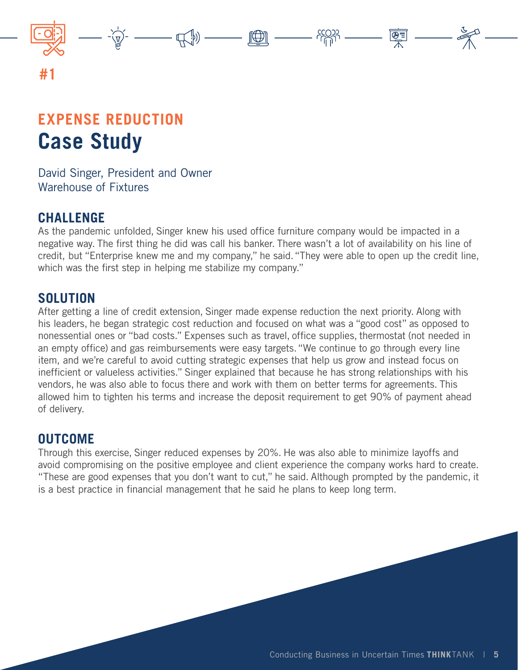

# **EXPENSE REDUCTION Case Study**

David Singer, President and Owner Warehouse of Fixtures

### **CHALLENGE**

As the pandemic unfolded, Singer knew his used office furniture company would be impacted in a negative way. The first thing he did was call his banker. There wasn't a lot of availability on his line of credit, but "Enterprise knew me and my company," he said. "They were able to open up the credit line, which was the first step in helping me stabilize my company."

### **SOLUTION**

After getting a line of credit extension, Singer made expense reduction the next priority. Along with his leaders, he began strategic cost reduction and focused on what was a "good cost" as opposed to nonessential ones or "bad costs." Expenses such as travel, office supplies, thermostat (not needed in an empty office) and gas reimbursements were easy targets. "We continue to go through every line item, and we're careful to avoid cutting strategic expenses that help us grow and instead focus on inefficient or valueless activities." Singer explained that because he has strong relationships with his vendors, he was also able to focus there and work with them on better terms for agreements. This allowed him to tighten his terms and increase the deposit requirement to get 90% of payment ahead of delivery.

### **OUTCOME**

Through this exercise, Singer reduced expenses by 20%. He was also able to minimize layoffs and avoid compromising on the positive employee and client experience the company works hard to create. "These are good expenses that you don't want to cut," he said. Although prompted by the pandemic, it is a best practice in financial management that he said he plans to keep long term.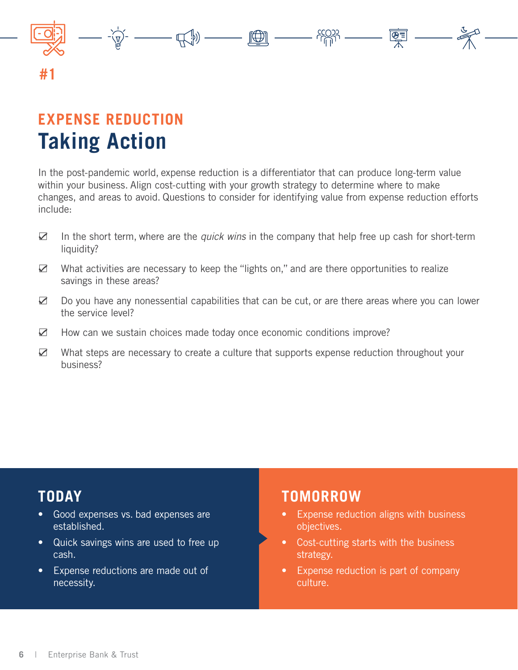

# **EXPENSE REDUCTION Taking Action**

In the post-pandemic world, expense reduction is a differentiator that can produce long-term value within your business. Align cost-cutting with your growth strategy to determine where to make changes, and areas to avoid. Questions to consider for identifying value from expense reduction efforts include:

- $\boxtimes$  In the short term, where are the *quick wins* in the company that help free up cash for short-term liquidity?
- $\boxtimes$  What activities are necessary to keep the "lights on," and are there opportunities to realize savings in these areas?
- Do you have any nonessential capabilities that can be cut, or are there areas where you can lower the service level?
- $\boxtimes$  How can we sustain choices made today once economic conditions improve?
- $✓$  What steps are necessary to create a culture that supports expense reduction throughout your business?

## **TODAY**

- Good expenses vs. bad expenses are established.
- Quick savings wins are used to free up cash.
- Expense reductions are made out of necessity.

- Expense reduction aligns with business objectives.
- Cost-cutting starts with the business strategy.
- Expense reduction is part of company culture.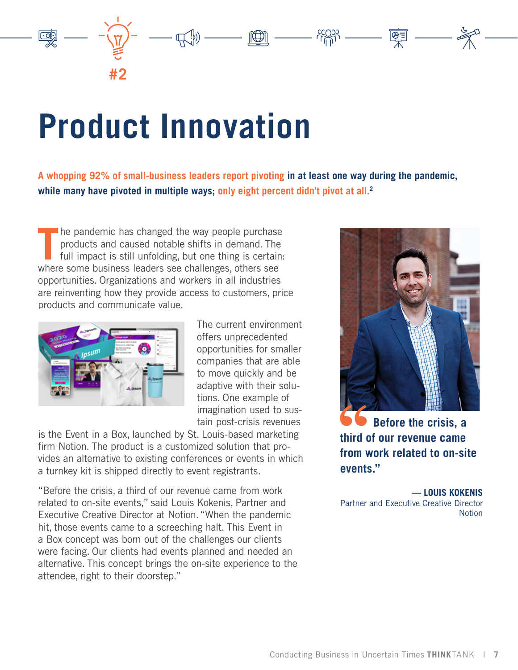# <span id="page-6-0"></span>**Product Innovation**

**A whopping 92% of small-business leaders report pivoting in at least one way during the pandemic, while many have pivoted in multiple ways; only eight percent didn't pivot at all.2**

 $\text{H}_{\text{eff}}(0) \text{ and } \text{H}_{\text{eff}}(0) \text{ and } \text{H}_{\text{eff}}(0) \text{ and } \text{H}_{\text{eff}}(0) \text{ and } \text{H}_{\text{eff}}(0) \text{ and } \text{H}_{\text{eff}}(0) \text{ and } \text{H}_{\text{eff}}(0) \text{ and } \text{H}_{\text{eff}}(0) \text{ and } \text{H}_{\text{eff}}(0) \text{ and } \text{H}_{\text{eff}}(0) \text{ and } \text{H}_{\text{eff}}(0) \text{ and } \text{H}_{\text{eff}}(0) \text{ and } \text{H$ 

The pandemic has changed the way people purchase<br>products and caused notable shifts in demand. The<br>full impact is still unfolding, but one thing is certain<br>where some business leaders see challenges, others see he pandemic has changed the way people purchase products and caused notable shifts in demand. The full impact is still unfolding, but one thing is certain: opportunities. Organizations and workers in all industries are reinventing how they provide access to customers, price products and communicate value.



**#2**

The current environment offers unprecedented opportunities for smaller companies that are able to move quickly and be adaptive with their solutions. One example of imagination used to sustain post-crisis revenues

is the Event in a Box, launched by St. Louis-based marketing firm Notion. The product is a customized solution that provides an alternative to existing conferences or events in which a turnkey kit is shipped directly to event registrants.

"Before the crisis, a third of our revenue came from work related to on-site events," said Louis Kokenis, Partner and Executive Creative Director at Notion. "When the pandemic hit, those events came to a screeching halt. This Event in a Box concept was born out of the challenges our clients were facing. Our clients had events planned and needed an alternative. This concept brings the on-site experience to the attendee, right to their doorstep."



 **Before the crisis, a third of our revenue came from work related to on-site events."**

**— LOUIS KOKENIS** Partner and Executive Creative Director Notion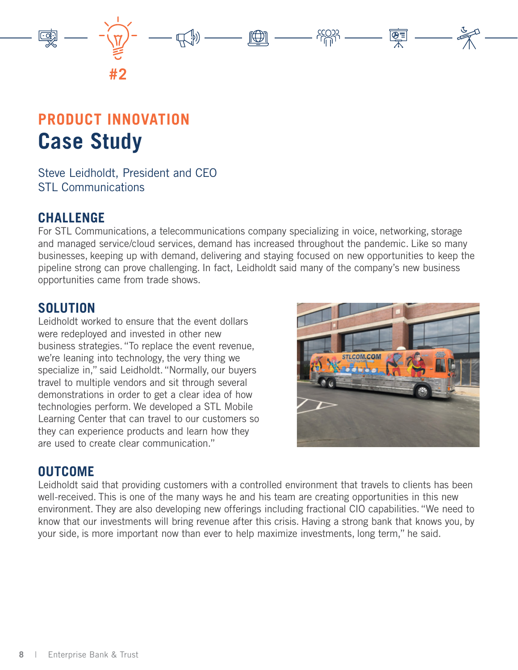

# **PRODUCT INNOVATION Case Study**

Steve Leidholdt, President and CEO STL Communications

### **CHALLENGE**

For STL Communications, a telecommunications company specializing in voice, networking, storage and managed service/cloud services, demand has increased throughout the pandemic. Like so many businesses, keeping up with demand, delivering and staying focused on new opportunities to keep the pipeline strong can prove challenging. In fact, Leidholdt said many of the company's new business opportunities came from trade shows.

### **SOLUTION**

Leidholdt worked to ensure that the event dollars were redeployed and invested in other new business strategies. "To replace the event revenue, we're leaning into technology, the very thing we specialize in," said Leidholdt. "Normally, our buyers travel to multiple vendors and sit through several demonstrations in order to get a clear idea of how technologies perform. We developed a STL Mobile Learning Center that can travel to our customers so they can experience products and learn how they are used to create clear communication."



### **OUTCOME**

Leidholdt said that providing customers with a controlled environment that travels to clients has been well-received. This is one of the many ways he and his team are creating opportunities in this new environment. They are also developing new offerings including fractional CIO capabilities. "We need to know that our investments will bring revenue after this crisis. Having a strong bank that knows you, by your side, is more important now than ever to help maximize investments, long term," he said.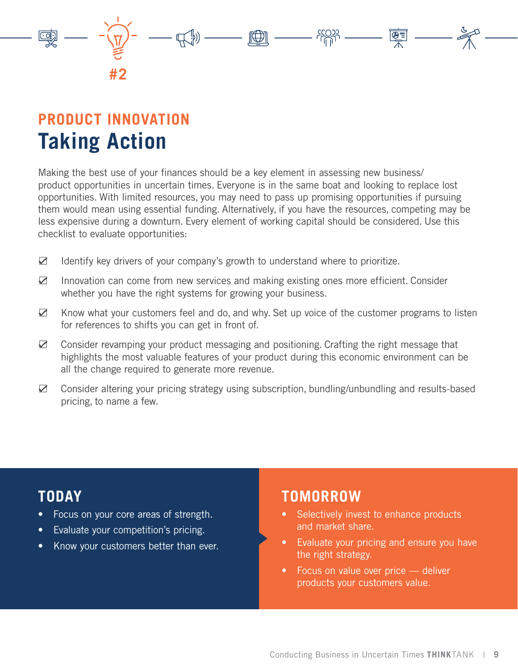

# **PRODUCT INNOVATION Taking Action**

Making the best use of your finances should be a key element in assessing new business/ product opportunities in uncertain times. Everyone is in the same boat and looking to replace lost opportunities. With limited resources, you may need to pass up promising opportunities if pursuing them would mean using essential funding. Alternatively, if you have the resources, competing may be less expensive during a downturn. Every element of working capital should be considered. Use this checklist to evaluate opportunities:

- $\boxtimes$  Identify key drivers of your company's growth to understand where to prioritize.
- $\boxtimes$  Innovation can come from new services and making existing ones more efficient. Consider whether you have the right systems for growing your business.
- $\boxtimes$  Know what your customers feel and do, and why. Set up voice of the customer programs to listen for references to shifts you can get in front of.
- $\boxtimes$  Consider revamping your product messaging and positioning. Crafting the right message that highlights the most valuable features of your product during this economic environment can be all the change required to generate more revenue.
- ܇ Consider altering your pricing strategy using subscription, bundling/unbundling and results-based pricing, to name a few.

## **TODAY**

- Focus on your core areas of strength.
- Evaluate your competition's pricing.
- Know your customers better than ever.

- Selectively invest to enhance products and market share.
- Evaluate your pricing and ensure you have the right strategy.
- Focus on value over price deliver products your customers value.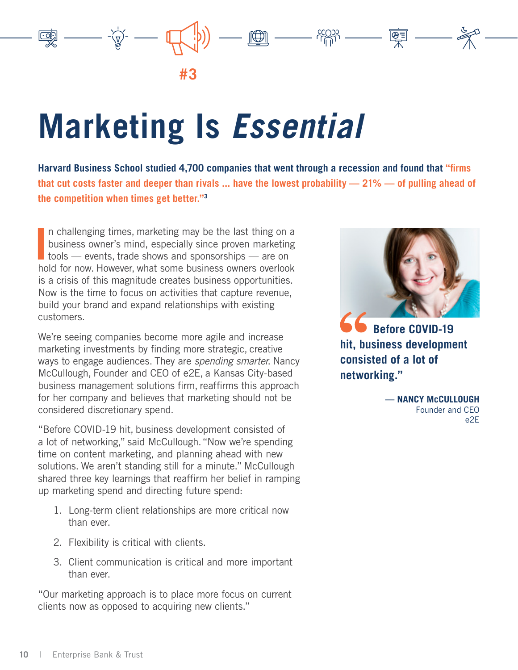<span id="page-9-0"></span>

# **Marketing Is** *Essential*

**Harvard Business School studied 4,700 companies that went through a recession and found that "firms that cut costs faster and deeper than rivals ... have the lowest probability — 21% — of pulling ahead of the competition when times get better."3**

In challenging times, marketing may be the last thing on a<br>business owner's mind, especially since proven marketing<br>tools — events, trade shows and sponsorships — are on<br>hald for now Hougher what some business owners overl n challenging times, marketing may be the last thing on a business owner's mind, especially since proven marketing hold for now. However, what some business owners overlook is a crisis of this magnitude creates business opportunities. Now is the time to focus on activities that capture revenue, build your brand and expand relationships with existing customers.

We're seeing companies become more agile and increase marketing investments by finding more strategic, creative ways to engage audiences. They are spending smarter. Nancy McCullough, Founder and CEO of e2E, a Kansas City-based business management solutions firm, reaffirms this approach for her company and believes that marketing should not be considered discretionary spend.

"Before COVID-19 hit, business development consisted of a lot of networking," said McCullough. "Now we're spending time on content marketing, and planning ahead with new solutions. We aren't standing still for a minute." McCullough shared three key learnings that reaffirm her belief in ramping up marketing spend and directing future spend:

- 1. Long-term client relationships are more critical now than ever.
- 2. Flexibility is critical with clients.
- 3. Client communication is critical and more important than ever.

"Our marketing approach is to place more focus on current clients now as opposed to acquiring new clients."



 **Before COVID-19 hit, business development consisted of a lot of networking."**

**— NANCY McCULLOUGH** Founder and CEO e2E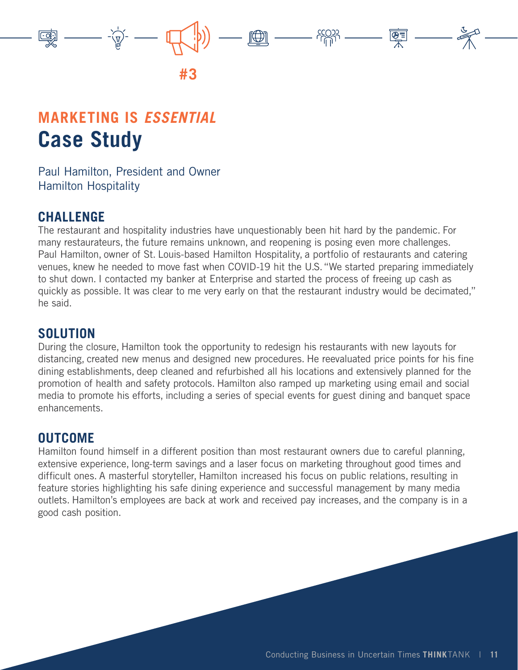

## **MARKETING IS** *ESSENTIAL* **Case Study**

Paul Hamilton, President and Owner Hamilton Hospitality

### **CHALLENGE**

The restaurant and hospitality industries have unquestionably been hit hard by the pandemic. For many restaurateurs, the future remains unknown, and reopening is posing even more challenges. Paul Hamilton, owner of St. Louis-based Hamilton Hospitality, a portfolio of restaurants and catering venues, knew he needed to move fast when COVID-19 hit the U.S. "We started preparing immediately to shut down. I contacted my banker at Enterprise and started the process of freeing up cash as quickly as possible. It was clear to me very early on that the restaurant industry would be decimated," he said.

#### **SOLUTION**

During the closure, Hamilton took the opportunity to redesign his restaurants with new layouts for distancing, created new menus and designed new procedures. He reevaluated price points for his fine dining establishments, deep cleaned and refurbished all his locations and extensively planned for the promotion of health and safety protocols. Hamilton also ramped up marketing using email and social media to promote his efforts, including a series of special events for guest dining and banquet space enhancements.

### **OUTCOME**

Hamilton found himself in a different position than most restaurant owners due to careful planning, extensive experience, long-term savings and a laser focus on marketing throughout good times and difficult ones. A masterful storyteller, Hamilton increased his focus on public relations, resulting in feature stories highlighting his safe dining experience and successful management by many media outlets. Hamilton's employees are back at work and received pay increases, and the company is in a good cash position.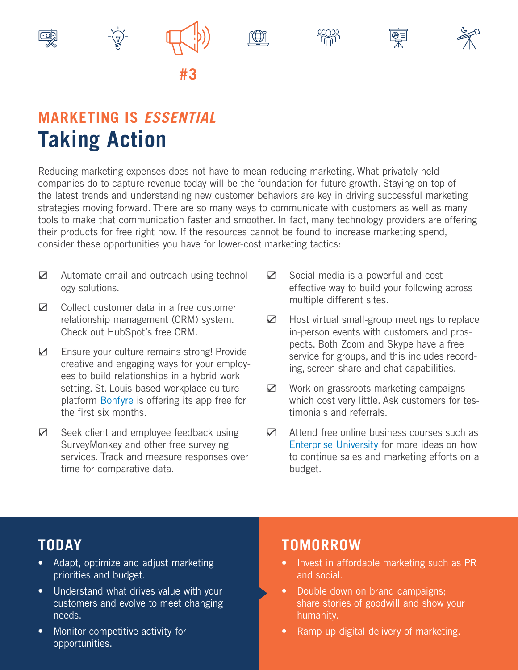

## **MARKETING IS** *ESSENTIAL* **Taking Action**

Reducing marketing expenses does not have to mean reducing marketing. What privately held companies do to capture revenue today will be the foundation for future growth. Staying on top of the latest trends and understanding new customer behaviors are key in driving successful marketing strategies moving forward. There are so many ways to communicate with customers as well as many tools to make that communication faster and smoother. In fact, many technology providers are offering their products for free right now. If the resources cannot be found to increase marketing spend, consider these opportunities you have for lower-cost marketing tactics:

- $\boxtimes$  Automate email and outreach using technology solutions.
- $\boxtimes$  Collect customer data in a free customer relationship management (CRM) system. Check out HubSpot's free CRM.
- $✓$  Ensure your culture remains strong! Provide creative and engaging ways for your employees to build relationships in a hybrid work setting. St. Louis-based workplace culture platform [Bonfyre](https://bonfyreapp.com/smb-solution) is offering its app free for the first six months.
- $\boxtimes$  Seek client and employee feedback using SurveyMonkey and other free surveying services. Track and measure responses over time for comparative data.
- $\boxtimes$  Social media is a powerful and costeffective way to build your following across multiple different sites.
- $\boxtimes$  Host virtual small-group meetings to replace in-person events with customers and prospects. Both Zoom and Skype have a free service for groups, and this includes recording, screen share and chat capabilities.
- $\boxtimes$  Work on grassroots marketing campaigns which cost very little. Ask customers for testimonials and referrals.
- $\boxtimes$  Attend free online business courses such as [Enterprise University](https://www.enterprisebank.com/eu) for more ideas on how to continue sales and marketing efforts on a budget.

## **TODAY**

- Adapt, optimize and adjust marketing priorities and budget.
- Understand what drives value with your customers and evolve to meet changing needs.
- Monitor competitive activity for opportunities.

- Invest in affordable marketing such as PR and social.
- Double down on brand campaigns; share stories of goodwill and show your humanity.
- Ramp up digital delivery of marketing.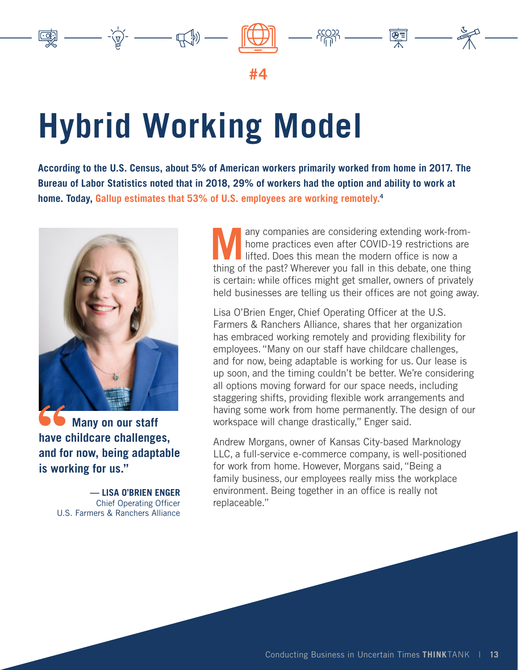

# <span id="page-12-0"></span>**Hybrid Working Model**

**According to the U.S. Census, about 5% of American workers primarily worked from home in 2017. The Bureau of Labor Statistics noted that in 2018, 29% of workers had the option and ability to work at home. Today, Gallup estimates that 53% of U.S. employees are working remotely.4**



 **Many on our staff have childcare challenges, and for now, being adaptable is working for us."**

> **— LISA O'BRIEN ENGER** Chief Operating Officer U.S. Farmers & Ranchers Alliance

**Many companies are considering extending work-from-<br>
In the practices even after COVID-19 restrictions are<br>
lifted. Does this mean the modern office is now a<br>
thing of the post? Wherever you fell in this debate are thing** home practices even after COVID-19 restrictions are lifted. Does this mean the modern office is now a thing of the past? Wherever you fall in this debate, one thing is certain: while offices might get smaller, owners of privately held businesses are telling us their offices are not going away.

 $\begin{picture}(120,10) \put(0,0){\line(1,0){10}} \put(15,0){\line(1,0){10}} \put(15,0){\line(1,0){10}} \put(15,0){\line(1,0){10}} \put(15,0){\line(1,0){10}} \put(15,0){\line(1,0){10}} \put(15,0){\line(1,0){10}} \put(15,0){\line(1,0){10}} \put(15,0){\line(1,0){10}} \put(15,0){\line(1,0){10}} \put(15,0){\line(1,0){10}} \put(15,0){\line($ 

Lisa O'Brien Enger, Chief Operating Officer at the U.S. Farmers & Ranchers Alliance, shares that her organization has embraced working remotely and providing flexibility for employees. "Many on our staff have childcare challenges, and for now, being adaptable is working for us. Our lease is up soon, and the timing couldn't be better. We're considering all options moving forward for our space needs, including staggering shifts, providing flexible work arrangements and having some work from home permanently. The design of our workspace will change drastically," Enger said.

Andrew Morgans, owner of Kansas City-based Marknology LLC, a full-service e-commerce company, is well-positioned for work from home. However, Morgans said, "Being a family business, our employees really miss the workplace environment. Being together in an office is really not replaceable."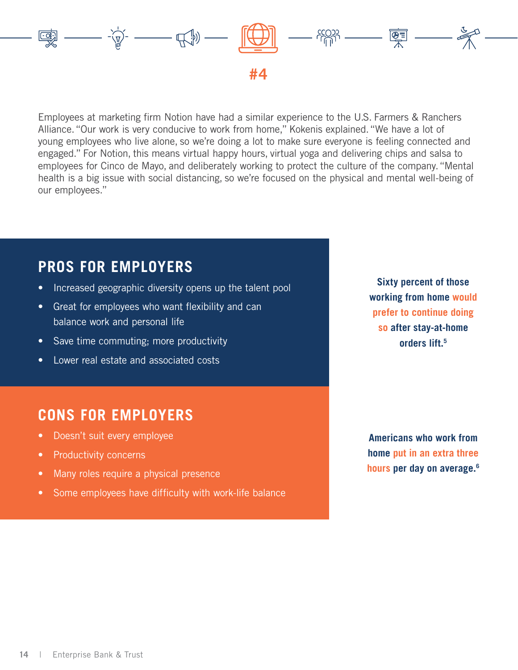

Employees at marketing firm Notion have had a similar experience to the U.S. Farmers & Ranchers Alliance. "Our work is very conducive to work from home," Kokenis explained. "We have a lot of young employees who live alone, so we're doing a lot to make sure everyone is feeling connected and engaged." For Notion, this means virtual happy hours, virtual yoga and delivering chips and salsa to employees for Cinco de Mayo, and deliberately working to protect the culture of the company. "Mental health is a big issue with social distancing, so we're focused on the physical and mental well-being of our employees."

## **PROS FOR EMPLOYERS**

- Increased geographic diversity opens up the talent pool
- Great for employees who want flexibility and can balance work and personal life
- Save time commuting; more productivity
- Lower real estate and associated costs

## **CONS FOR EMPLOYERS**

- Doesn't suit every employee
- Productivity concerns
- Many roles require a physical presence
- Some employees have difficulty with work-life balance

**Sixty percent of those working from home would prefer to continue doing so after stay-at-home orders lift.5**

**Americans who work from home put in an extra three hours per day on average.6**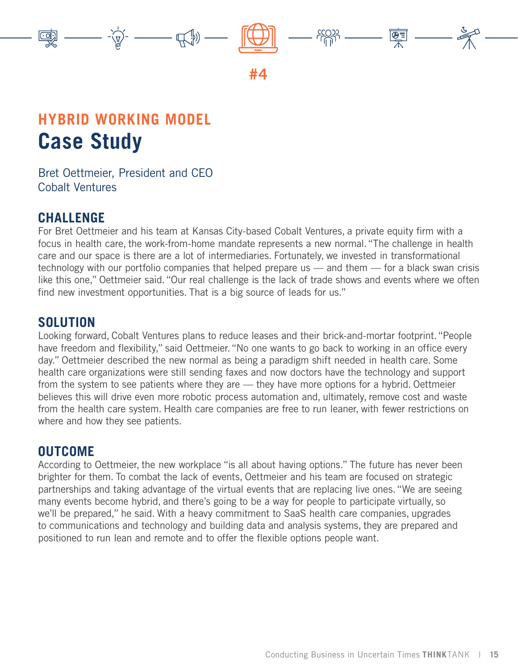

# **HYBRID WORKING MODEL Case Study**

Bret Oettmeier, President and CEO Cobalt Ventures

### **CHALLENGE**

For Bret Oettmeier and his team at Kansas City-based Cobalt Ventures, a private equity firm with a focus in health care, the work-from-home mandate represents a new normal. "The challenge in health care and our space is there are a lot of intermediaries. Fortunately, we invested in transformational technology with our portfolio companies that helped prepare us — and them — for a black swan crisis like this one," Oettmeier said. "Our real challenge is the lack of trade shows and events where we often find new investment opportunities. That is a big source of leads for us."

#### **SOLUTION**

Looking forward, Cobalt Ventures plans to reduce leases and their brick-and-mortar footprint. "People have freedom and flexibility," said Oettmeier. "No one wants to go back to working in an office every day." Oettmeier described the new normal as being a paradigm shift needed in health care. Some health care organizations were still sending faxes and now doctors have the technology and support from the system to see patients where they are — they have more options for a hybrid. Oettmeier believes this will drive even more robotic process automation and, ultimately, remove cost and waste from the health care system. Health care companies are free to run leaner, with fewer restrictions on where and how they see patients.

#### **OUTCOME**

According to Oettmeier, the new workplace "is all about having options." The future has never been brighter for them. To combat the lack of events, Oettmeier and his team are focused on strategic partnerships and taking advantage of the virtual events that are replacing live ones. "We are seeing many events become hybrid, and there's going to be a way for people to participate virtually, so we'll be prepared," he said. With a heavy commitment to SaaS health care companies, upgrades to communications and technology and building data and analysis systems, they are prepared and positioned to run lean and remote and to offer the flexible options people want.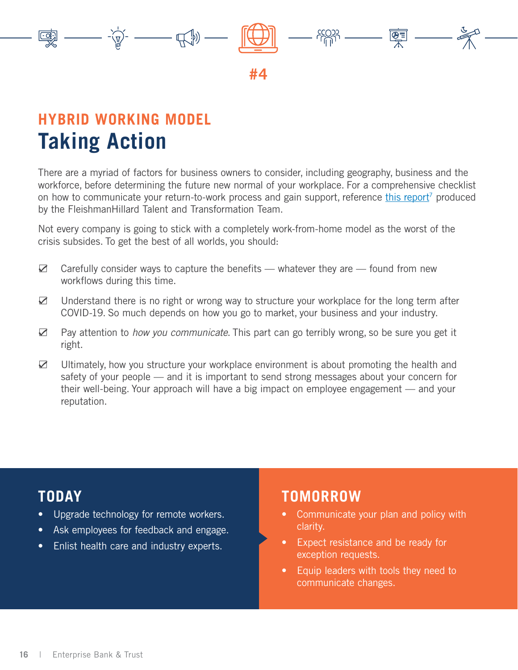

## **HYBRID WORKING MODEL Taking Action**

There are a myriad of factors for business owners to consider, including geography, business and the workforce, before determining the future new normal of your workplace. For a comprehensive checklist on how to communicate your return-to-work process and gain support, reference [this report](https://fleishmanhillard.com/wp-content/uploads/meta/resource-file/2020/return-to-work-checklists-for-employee-communicators-1590067505.pdf)<sup>7</sup> produced by the FleishmanHillard Talent and Transformation Team.

Not every company is going to stick with a completely work-from-home model as the worst of the crisis subsides. To get the best of all worlds, you should:

- $\boxtimes$  Carefully consider ways to capture the benefits whatever they are found from new workflows during this time.
- $\boxtimes$  Understand there is no right or wrong way to structure your workplace for the long term after COVID-19. So much depends on how you go to market, your business and your industry.
- $\boxtimes$  Pay attention to *how you communicate*. This part can go terribly wrong, so be sure you get it right.
- $\boxtimes$  Ultimately, how you structure your workplace environment is about promoting the health and safety of your people — and it is important to send strong messages about your concern for their well-being. Your approach will have a big impact on employee engagement — and your reputation.

## **TODAY**

- Upgrade technology for remote workers.
- Ask employees for feedback and engage.
- Enlist health care and industry experts.

- Communicate your plan and policy with clarity.
- Expect resistance and be ready for exception requests.
- Equip leaders with tools they need to communicate changes.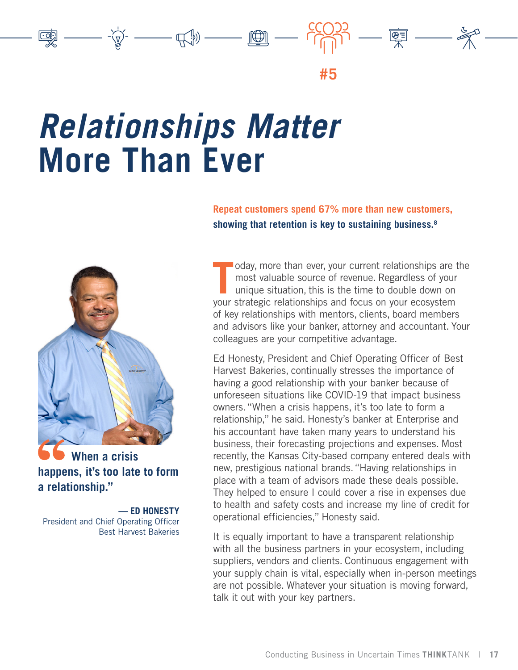<span id="page-16-0"></span>

# *Relationships Matter* **More Than Ever**





 **When a crisis happens, it's too late to form a relationship."**

**— ED HONESTY** President and Chief Operating Officer Best Harvest Bakeries

oday, more than ever, your current relationships are t most valuable source of revenue. Regardless of your unique situation, this is the time to double down on your strategic relationships and focus on your ecosystem oday, more than ever, your current relationships are the most valuable source of revenue. Regardless of your unique situation, this is the time to double down on of key relationships with mentors, clients, board members and advisors like your banker, attorney and accountant. Your colleagues are your competitive advantage.

Ed Honesty, President and Chief Operating Officer of Best Harvest Bakeries, continually stresses the importance of having a good relationship with your banker because of unforeseen situations like COVID-19 that impact business owners. "When a crisis happens, it's too late to form a relationship," he said. Honesty's banker at Enterprise and his accountant have taken many years to understand his business, their forecasting projections and expenses. Most recently, the Kansas City-based company entered deals with new, prestigious national brands. "Having relationships in place with a team of advisors made these deals possible. They helped to ensure I could cover a rise in expenses due to health and safety costs and increase my line of credit for operational efficiencies," Honesty said.

It is equally important to have a transparent relationship with all the business partners in your ecosystem, including suppliers, vendors and clients. Continuous engagement with your supply chain is vital, especially when in-person meetings are not possible. Whatever your situation is moving forward, talk it out with your key partners.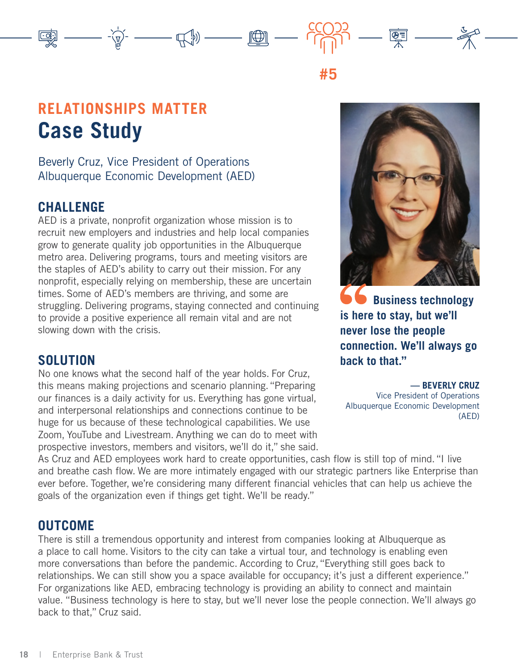## **RELATIONSHIPS MATTER Case Study**

Beverly Cruz, Vice President of Operations Albuquerque Economic Development (AED)

#### **CHALLENGE**

AED is a private, nonprofit organization whose mission is to recruit new employers and industries and help local companies grow to generate quality job opportunities in the Albuquerque metro area. Delivering programs, tours and meeting visitors are the staples of AED's ability to carry out their mission. For any nonprofit, especially relying on membership, these are uncertain times. Some of AED's members are thriving, and some are struggling. Delivering programs, staying connected and continuing to provide a positive experience all remain vital and are not slowing down with the crisis.

 $\sum_{i=1}^{n-1} \frac{1}{i} \sum_{i=1}^{n} \frac{1}{i} \sum_{j=1}^{n} \frac{1}{j} \sum_{i=1}^{n} \frac{1}{j} \sum_{i=1}^{n} \frac{1}{i} \sum_{j=1}^{n} \frac{1}{j} \sum_{i=1}^{n} \frac{1}{j} \sum_{i=1}^{n} \frac{1}{j} \sum_{j=1}^{n} \frac{1}{j} \sum_{i=1}^{n} \frac{1}{j} \sum_{i=1}^{n} \frac{1}{j} \sum_{i=1}^{n} \frac{1}{j} \sum_{i=1}^{n} \frac{1$ 

### **SOLUTION**

No one knows what the second half of the year holds. For Cruz, this means making projections and scenario planning. "Preparing our finances is a daily activity for us. Everything has gone virtual, and interpersonal relationships and connections continue to be huge for us because of these technological capabilities. We use Zoom, YouTube and Livestream. Anything we can do to meet with prospective investors, members and visitors, we'll do it," she said.



 $\overline{\mathbb{F}}$   $\overline{\mathbb{F}}$ 

**#5**

 **Business technology is here to stay, but we'll never lose the people connection. We'll always go back to that."**

**— BEVERLY CRUZ** Vice President of Operations Albuquerque Economic Development (AED)

As Cruz and AED employees work hard to create opportunities, cash flow is still top of mind. "I live and breathe cash flow. We are more intimately engaged with our strategic partners like Enterprise than ever before. Together, we're considering many different financial vehicles that can help us achieve the goals of the organization even if things get tight. We'll be ready."

#### **OUTCOME**

There is still a tremendous opportunity and interest from companies looking at Albuquerque as a place to call home. Visitors to the city can take a virtual tour, and technology is enabling even more conversations than before the pandemic. According to Cruz, "Everything still goes back to relationships. We can still show you a space available for occupancy; it's just a different experience." For organizations like AED, embracing technology is providing an ability to connect and maintain value. "Business technology is here to stay, but we'll never lose the people connection. We'll always go back to that," Cruz said.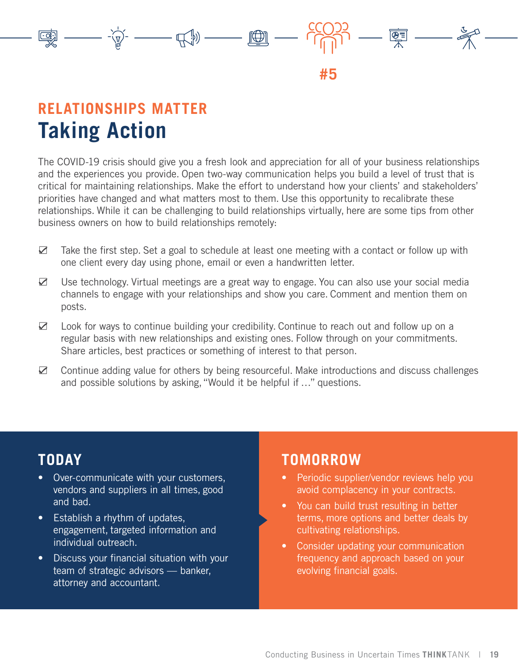

## **RELATIONSHIPS MATTER Taking Action**

The COVID-19 crisis should give you a fresh look and appreciation for all of your business relationships and the experiences you provide. Open two-way communication helps you build a level of trust that is critical for maintaining relationships. Make the effort to understand how your clients' and stakeholders' priorities have changed and what matters most to them. Use this opportunity to recalibrate these relationships. While it can be challenging to build relationships virtually, here are some tips from other business owners on how to build relationships remotely:

- $\boxtimes$  Take the first step. Set a goal to schedule at least one meeting with a contact or follow up with one client every day using phone, email or even a handwritten letter.
- $\boxtimes$  Use technology. Virtual meetings are a great way to engage. You can also use your social media channels to engage with your relationships and show you care. Comment and mention them on posts.
- $\boxtimes$  Look for ways to continue building your credibility. Continue to reach out and follow up on a regular basis with new relationships and existing ones. Follow through on your commitments. Share articles, best practices or something of interest to that person.
- $\boxtimes$  Continue adding value for others by being resourceful. Make introductions and discuss challenges and possible solutions by asking, "Would it be helpful if …" questions.

## **TODAY**

- Over-communicate with your customers, vendors and suppliers in all times, good and bad.
- Establish a rhythm of updates, engagement, targeted information and individual outreach.
- Discuss your financial situation with your team of strategic advisors — banker, attorney and accountant.

- Periodic supplier/vendor reviews help you avoid complacency in your contracts.
- You can build trust resulting in better terms, more options and better deals by cultivating relationships.
- Consider updating your communication frequency and approach based on your evolving financial goals.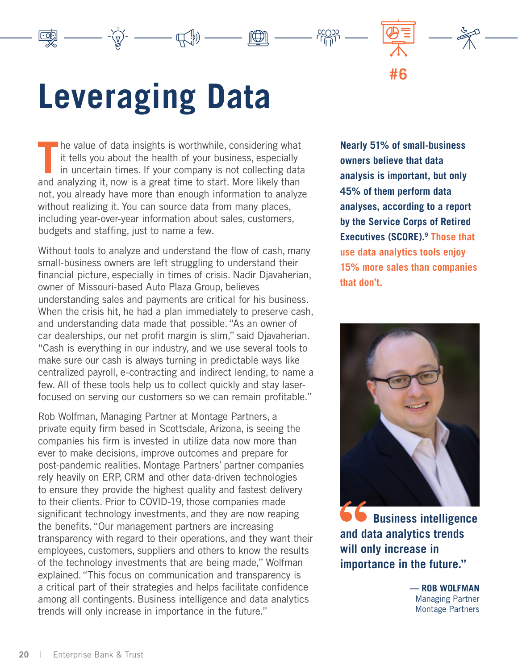# <span id="page-19-0"></span>**Leveraging Data**

The value of data insights is worthwhile, considering what it tells you about the health of your business, especially in uncertain times. If your company is not collecting data and analyzing it, now is a great time to star he value of data insights is worthwhile, considering what it tells you about the health of your business, especially in uncertain times. If your company is not collecting data not, you already have more than enough information to analyze without realizing it. You can source data from many places, including year-over-year information about sales, customers, budgets and staffing, just to name a few.

 $-\bigoplus_{i=1}^n\mathbb{I}_{\mathbb{P}_i}\big)$ 

Without tools to analyze and understand the flow of cash, many small-business owners are left struggling to understand their financial picture, especially in times of crisis. Nadir Djavaherian, owner of Missouri-based Auto Plaza Group, believes understanding sales and payments are critical for his business. When the crisis hit, he had a plan immediately to preserve cash, and understanding data made that possible. "As an owner of car dealerships, our net profit margin is slim," said Djavaherian. "Cash is everything in our industry, and we use several tools to make sure our cash is always turning in predictable ways like centralized payroll, e-contracting and indirect lending, to name a few. All of these tools help us to collect quickly and stay laserfocused on serving our customers so we can remain profitable."

Rob Wolfman, Managing Partner at Montage Partners, a private equity firm based in Scottsdale, Arizona, is seeing the companies his firm is invested in utilize data now more than ever to make decisions, improve outcomes and prepare for post-pandemic realities. Montage Partners' partner companies rely heavily on ERP, CRM and other data-driven technologies to ensure they provide the highest quality and fastest delivery to their clients. Prior to COVID-19, those companies made significant technology investments, and they are now reaping the benefits. "Our management partners are increasing transparency with regard to their operations, and they want their employees, customers, suppliers and others to know the results of the technology investments that are being made," Wolfman explained. "This focus on communication and transparency is a critical part of their strategies and helps facilitate confidence among all contingents. Business intelligence and data analytics trends will only increase in importance in the future."

**Nearly 51% of small-business owners believe that data analysis is important, but only 45% of them perform data analyses, according to a report by the Service Corps of Retired Executives (SCORE).9 Those that use data analytics tools enjoy 15% more sales than companies that don't.**

**#6**

**FRAN** 

 $\Box$ 



**b Business intelligence and data analytics trends will only increase in importance in the future."**

> **— ROB WOLFMAN** Managing Partner Montage Partners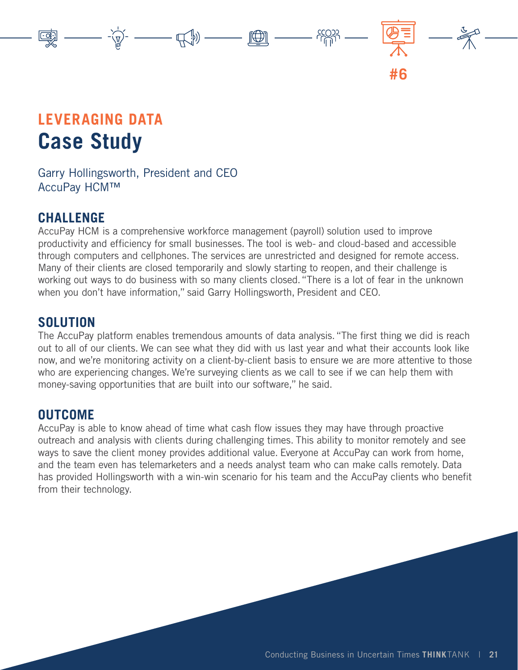# **LEVERAGING DATA Case Study**

Garry Hollingsworth, President and CEO AccuPay HCM™

### **CHALLENGE**

AccuPay HCM is a comprehensive workforce management (payroll) solution used to improve productivity and efficiency for small businesses. The tool is web- and cloud-based and accessible through computers and cellphones. The services are unrestricted and designed for remote access. Many of their clients are closed temporarily and slowly starting to reopen, and their challenge is working out ways to do business with so many clients closed. "There is a lot of fear in the unknown when you don't have information," said Garry Hollingsworth, President and CEO.

 $\sum_{i=1}^{n} \frac{1}{i} \sum_{i=1}^{n} \frac{1}{i} \sum_{j=1}^{n} \frac{1}{j} \sum_{j=1}^{n} \frac{1}{j} \sum_{j=1}^{n} \frac{1}{j} \sum_{j=1}^{n} \frac{1}{j} \sum_{j=1}^{n} \frac{1}{j} \sum_{j=1}^{n} \frac{1}{j} \sum_{j=1}^{n} \frac{1}{j} \sum_{j=1}^{n} \frac{1}{j} \sum_{j=1}^{n} \frac{1}{j} \sum_{j=1}^{n} \frac{1}{j} \sum_{j=1}^{n} \frac{1}{j$ 

### **SOLUTION**

The AccuPay platform enables tremendous amounts of data analysis. "The first thing we did is reach out to all of our clients. We can see what they did with us last year and what their accounts look like now, and we're monitoring activity on a client-by-client basis to ensure we are more attentive to those who are experiencing changes. We're surveying clients as we call to see if we can help them with money-saving opportunities that are built into our software," he said.

### **OUTCOME**

AccuPay is able to know ahead of time what cash flow issues they may have through proactive outreach and analysis with clients during challenging times. This ability to monitor remotely and see ways to save the client money provides additional value. Everyone at AccuPay can work from home, and the team even has telemarketers and a needs analyst team who can make calls remotely. Data has provided Hollingsworth with a win-win scenario for his team and the AccuPay clients who benefit from their technology.

**#6**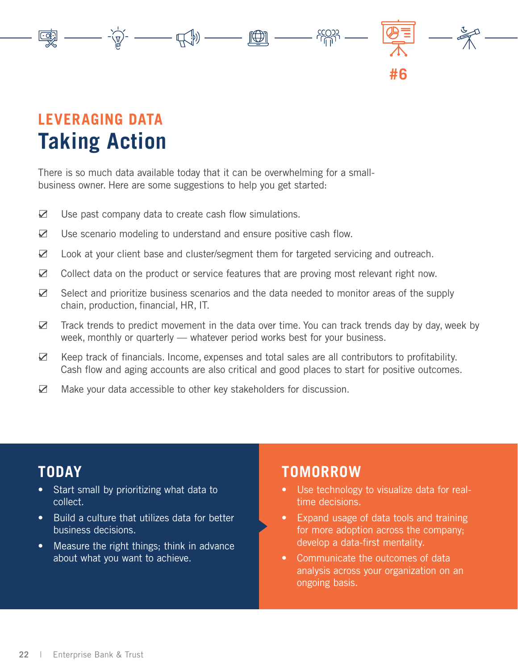# **LEVERAGING DATA Taking Action**

There is so much data available today that it can be overwhelming for a smallbusiness owner. Here are some suggestions to help you get started:

- $\boxtimes$  Use past company data to create cash flow simulations.
- $\boxtimes$  Use scenario modeling to understand and ensure positive cash flow.
- $\boxtimes$  Look at your client base and cluster/segment them for targeted servicing and outreach.

 $\frac{1}{\sqrt{2}}\left( \frac{1}{\sqrt{2}}\right) _{1}+\frac{1}{\sqrt{2}}\left( \frac{1}{\sqrt{2}}\right) _{2}+\frac{1}{\sqrt{2}}\left( \frac{1}{\sqrt{2}}\right) _{2}+\frac{1}{\sqrt{2}}\left( \frac{1}{\sqrt{2}}\right) _{2}+\frac{1}{\sqrt{2}}\left( \frac{1}{\sqrt{2}}\right) _{2}+\frac{1}{\sqrt{2}}\left( \frac{1}{\sqrt{2}}\right) _{2}+\frac{1}{\sqrt{2}}\left( \frac{1}{\sqrt{2}}\right) _{2}+\frac{1}{\sqrt{2}}$ 

- $\boxtimes$  Collect data on the product or service features that are proving most relevant right now.
- $\boxtimes$  Select and prioritize business scenarios and the data needed to monitor areas of the supply chain, production, financial, HR, IT.
- $\triangleright$  Track trends to predict movement in the data over time. You can track trends day by day, week by week, monthly or quarterly — whatever period works best for your business.
- $\boxtimes$  Keep track of financials. Income, expenses and total sales are all contributors to profitability. Cash flow and aging accounts are also critical and good places to start for positive outcomes.
- $\boxtimes$  Make your data accessible to other key stakeholders for discussion.

## **TODAY**

- Start small by prioritizing what data to collect.
- Build a culture that utilizes data for better business decisions.
- Measure the right things; think in advance about what you want to achieve.

### **TOMORROW**

Use technology to visualize data for realtime decisions.

**#6**

- Expand usage of data tools and training for more adoption across the company; develop a data-first mentality.
- Communicate the outcomes of data analysis across your organization on an ongoing basis.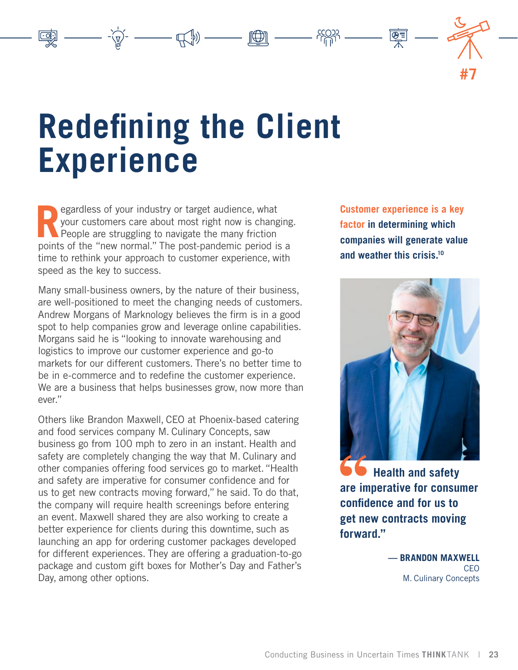**Redefining the Client Experience**

<span id="page-22-0"></span> $\text{Tr} \left( \text{Tr} \left( \text{Tr} \left( \text{Tr} \left( \text{Tr} \left( \text{Tr} \left( \text{Tr} \left( \text{Tr} \left( \text{Tr} \left( \text{Tr} \left( \text{Tr} \left( \text{Tr} \left( \text{Tr} \left( \text{Tr} \left( \text{Tr} \left( \text{Tr} \left( \text{Tr} \left( \text{Tr} \left( \text{Tr} \left( \text{Tr} \left( \text{Tr} \left( \text{Tr} \left( \text{Tr} \left( \text{Tr} \left( \text{Tr} \left( \text{Tr} \left( \text{Tr} \left( \text{Tr$ 

**Regardless of your industry or target audience, what your customers care about most right now is changed People are struggling to navigate the many friction** your customers care about most right now is changing.  $\blacksquare$  People are struggling to navigate the many friction points of the "new normal." The post-pandemic period is a time to rethink your approach to customer experience, with speed as the key to success.

Many small-business owners, by the nature of their business, are well-positioned to meet the changing needs of customers. Andrew Morgans of Marknology believes the firm is in a good spot to help companies grow and leverage online capabilities. Morgans said he is "looking to innovate warehousing and logistics to improve our customer experience and go-to markets for our different customers. There's no better time to be in e-commerce and to redefine the customer experience. We are a business that helps businesses grow, now more than ever."

Others like Brandon Maxwell, CEO at Phoenix-based catering and food services company M. Culinary Concepts, saw business go from 100 mph to zero in an instant. Health and safety are completely changing the way that M. Culinary and other companies offering food services go to market. "Health and safety are imperative for consumer confidence and for us to get new contracts moving forward," he said. To do that, the company will require health screenings before entering an event. Maxwell shared they are also working to create a better experience for clients during this downtime, such as launching an app for ordering customer packages developed for different experiences. They are offering a graduation-to-go package and custom gift boxes for Mother's Day and Father's Day, among other options.

**Customer experience is a key factor in determining which companies will generate value and weather this crisis.10**

**#7**



 **Health and safety are imperative for consumer confidence and for us to get new contracts moving forward."**

> **— BRANDON MAXWELL CEO** M. Culinary Concepts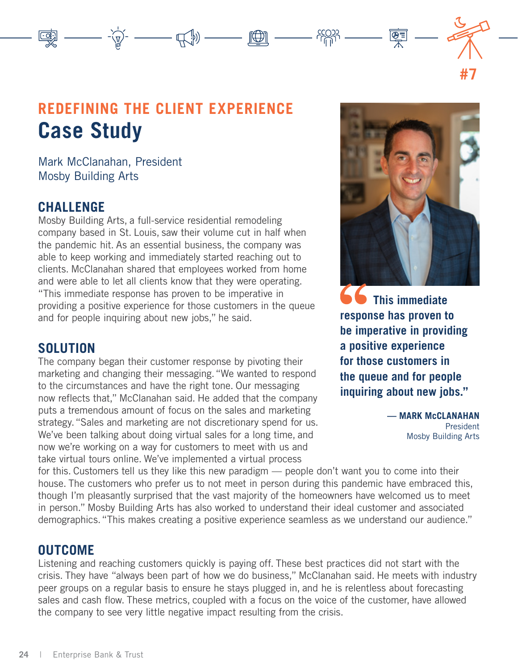## **REDEFINING THE CLIENT EXPERIENCE Case Study**

 $\text{Tr} \left( \text{Tr} \left( \text{Tr} \left( \text{Tr} \left( \text{Tr} \left( \text{Tr} \left( \text{Tr} \left( \text{Tr} \left( \text{Tr} \left( \text{Tr} \left( \text{Tr} \left( \text{Tr} \left( \text{Tr} \left( \text{Tr} \left( \text{Tr} \left( \text{Tr} \left( \text{Tr} \left( \text{Tr} \left( \text{Tr} \left( \text{Tr} \left( \text{Tr} \left( \text{Tr} \left( \text{Tr} \left( \text{Tr} \left( \text{Tr} \left( \text{Tr} \left( \text{Tr} \left( \text{Tr$ 

Mark McClanahan, President Mosby Building Arts

#### **CHALLENGE**

Mosby Building Arts, a full-service residential remodeling company based in St. Louis, saw their volume cut in half when the pandemic hit. As an essential business, the company was able to keep working and immediately started reaching out to clients. McClanahan shared that employees worked from home and were able to let all clients know that they were operating. "This immediate response has proven to be imperative in providing a positive experience for those customers in the queue and for people inquiring about new jobs," he said.

#### **SOLUTION**

The company began their customer response by pivoting their marketing and changing their messaging. "We wanted to respond to the circumstances and have the right tone. Our messaging now reflects that," McClanahan said. He added that the company puts a tremendous amount of focus on the sales and marketing strategy. "Sales and marketing are not discretionary spend for us. We've been talking about doing virtual sales for a long time, and now we're working on a way for customers to meet with us and take virtual tours online. We've implemented a virtual process

ÇĪ

**#7**

**66** This immediate **response has proven to be imperative in providing a positive experience for those customers in the queue and for people inquiring about new jobs."**

> **— MARK McCLANAHAN** President Mosby Building Arts

for this. Customers tell us they like this new paradigm — people don't want you to come into their house. The customers who prefer us to not meet in person during this pandemic have embraced this, though I'm pleasantly surprised that the vast majority of the homeowners have welcomed us to meet in person." Mosby Building Arts has also worked to understand their ideal customer and associated demographics. "This makes creating a positive experience seamless as we understand our audience."

#### **OUTCOME**

Listening and reaching customers quickly is paying off. These best practices did not start with the crisis. They have "always been part of how we do business," McClanahan said. He meets with industry peer groups on a regular basis to ensure he stays plugged in, and he is relentless about forecasting sales and cash flow. These metrics, coupled with a focus on the voice of the customer, have allowed the company to see very little negative impact resulting from the crisis.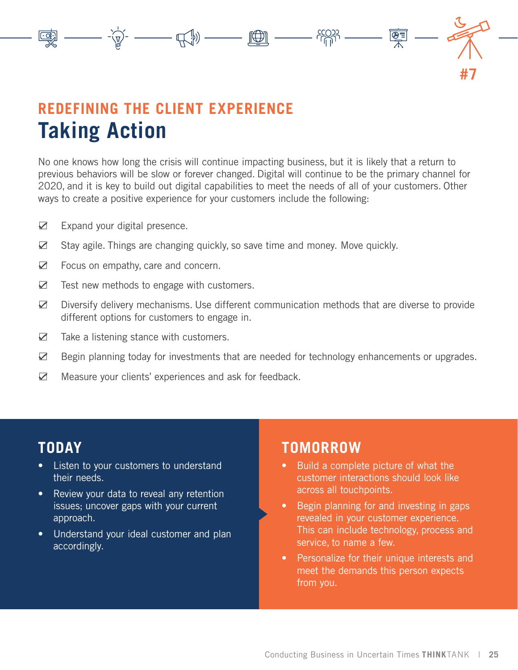

# **REDEFINING THE CLIENT EXPERIENCE Taking Action**

No one knows how long the crisis will continue impacting business, but it is likely that a return to previous behaviors will be slow or forever changed. Digital will continue to be the primary channel for 2020, and it is key to build out digital capabilities to meet the needs of all of your customers. Other ways to create a positive experience for your customers include the following:

- $\boxtimes$  Expand your digital presence.
- $\boxtimes$  Stay agile. Things are changing quickly, so save time and money. Move quickly.
- $✓$  Focus on empathy, care and concern.
- $\boxtimes$  Test new methods to engage with customers.
- $\boxtimes$  Diversify delivery mechanisms. Use different communication methods that are diverse to provide different options for customers to engage in.
- $\boxtimes$  Take a listening stance with customers.
- $\boxtimes$  Begin planning today for investments that are needed for technology enhancements or upgrades.
- $✓$  Measure your clients' experiences and ask for feedback.

### **TODAY**

- Listen to your customers to understand their needs.
- Review your data to reveal any retention issues; uncover gaps with your current approach.
- Understand your ideal customer and plan accordingly.

- Build a complete picture of what the customer interactions should look like across all touchpoints.
- Begin planning for and investing in gaps revealed in your customer experience. This can include technology, process and service, to name a few.
- Personalize for their unique interests and meet the demands this person expects from you.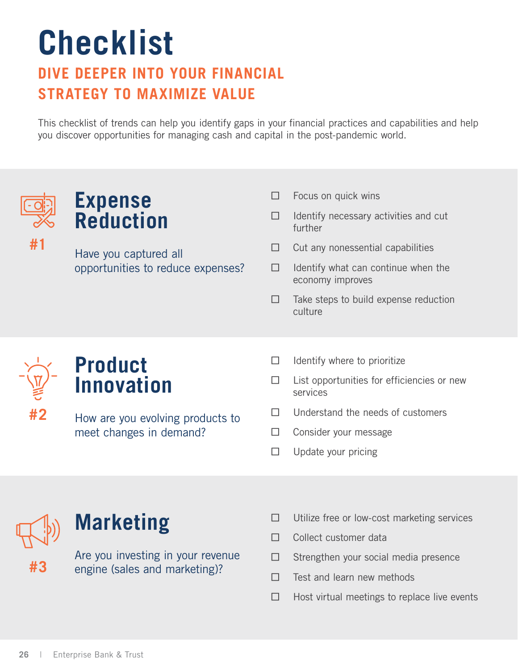# <span id="page-25-0"></span>**Checklist**

## **DIVE DEEPER INTO YOUR FINANCIAL STRATEGY TO MAXIMIZE VALUE**

This checklist of trends can help you identify gaps in your financial practices and capabilities and help you discover opportunities for managing cash and capital in the post-pandemic world.



**#1**

## **Expense Reduction**

Have you captured all opportunities to reduce expenses?

- $\Box$  Focus on quick wins
- $\Box$  Identify necessary activities and cut further
- $\Box$  Cut any nonessential capabilities
- $\Box$  Identify what can continue when the economy improves
- $\Box$  Take steps to build expense reduction culture



# **Product Innovation**

How are you evolving products to meet changes in demand?

- $\Box$  Identify where to prioritize
- $\square$  List opportunities for efficiencies or new services
- $\n **□** \n **Understand the needs of customers**$
- □ Consider your message
- □ Update your pricing



**#3**

# **Marketing**

Are you investing in your revenue engine (sales and marketing)?

- $\Box$  Utilize free or low-cost marketing services
- □ Collect customer data
- $\Box$  Strengthen your social media presence
- □ Test and learn new methods
- $\Box$  Host virtual meetings to replace live events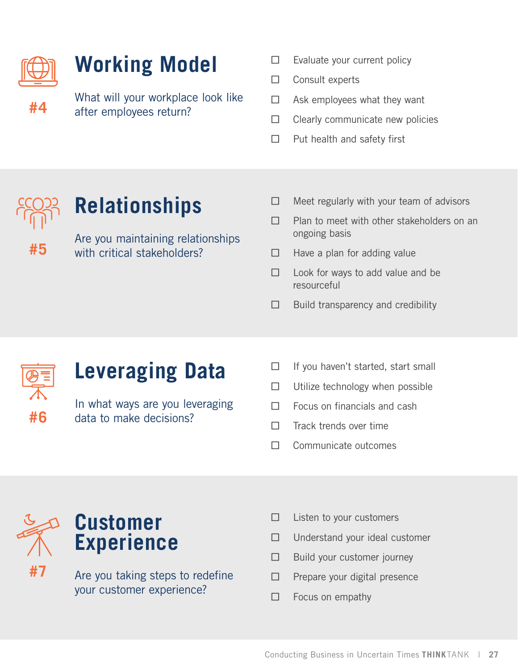

# **Working Model**

What will your workplace look like after employees return?

- $\Box$  Evaluate your current policy
- □ Consult experts
- $\Box$  Ask employees what they want
- $\Box$  Clearly communicate new policies
- □ Put health and safety first

# **Relationships**

Are you maintaining relationships with critical stakeholders?

- $\Box$  Meet regularly with your team of advisors
- $\Box$  Plan to meet with other stakeholders on an ongoing basis
- $\Box$  Have a plan for adding value
- $\Box$  Look for ways to add value and be resourceful
- $\Box$  Build transparency and credibility



**#5**

# **Leveraging Data**

In what ways are you leveraging data to make decisions?

- $\Box$  If you haven't started, start small
- $\Box$  Utilize technology when possible
- $\Box$  Focus on financials and cash
- $\Box$  Track trends over time
- □ Communicate outcomes



Are you taking steps to redefine your customer experience?

- $\Box$  Listen to your customers
- $\Box$  Understand your ideal customer
- $\Box$  Build your customer journey
- □ Prepare your digital presence
- $\Box$  Focus on empathy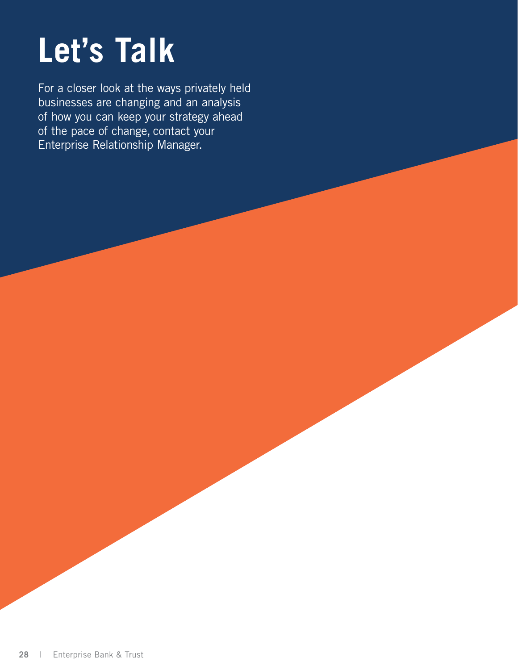# <span id="page-27-0"></span>**Let's Talk**

For a closer look at the ways privately held businesses are changing and an analysis of how you can keep your strategy ahead of the pace of change, contact your Enterprise Relationship Manager.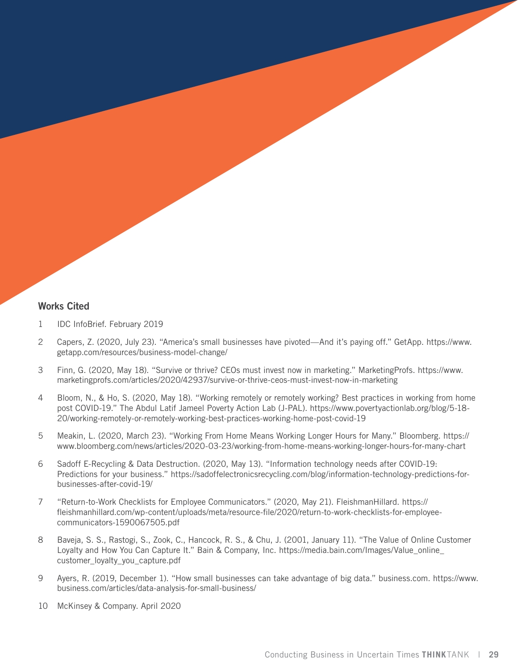#### **Works Cited**

- 1 **IDC InfoBrief. February 2019**
- 2 Capers, Z. (2020, July 23). "America's small businesses have pivoted—And it's paying off." [GetApp. https://www.](GetApp. https://www.getapp.com/resources/business-model-change/) [getapp.com/resources/business-model-change/](GetApp. https://www.getapp.com/resources/business-model-change/)
- 3 Finn, G. (2020, May 18). "Survive or thrive? CEOs must invest now in marketing." MarketingProfs. [https://www.](https://www.marketingprofs.com/articles/2020/42937/survive-or-thrive-ceos-must-invest-now-in-marketi) [marketingprofs.com/articles/2020/42937/survive-or-thrive-ceos-must-invest-now-in-marketing](https://www.marketingprofs.com/articles/2020/42937/survive-or-thrive-ceos-must-invest-now-in-marketi)
- 4 Bloom, N., & Ho, S. (2020, May 18). "Working remotely or remotely working? Best practices in working from home post COVID-19." The Abdul Latif Jameel Poverty Action Lab (J-PAL)*.* [https://www.povertyactionlab.org/blog/5-18-](https://www.povertyactionlab.org/blog/5-18-20/working-remotely-or-remotely-working-best-practices-working-home-post-covid-19) [20/working-remotely-or-remotely-working-best-practices-working-home-post-covid-19](https://www.povertyactionlab.org/blog/5-18-20/working-remotely-or-remotely-working-best-practices-working-home-post-covid-19)
- 5 Meakin, L. (2020, March 23). "Working From Home Means Working Longer Hours for Many." Bloomberg. [https://](https://www.bloomberg.com/news/articles/2020-03-23/working-from-home-means-working-longer-hours-for-many-chart) [www.bloomberg.com/news/articles/2020-03-23/working-from-home-means-working-longer-hours-for-many-chart](https://www.bloomberg.com/news/articles/2020-03-23/working-from-home-means-working-longer-hours-for-many-chart)
- 6 Sadoff E-Recycling & Data Destruction. (2020, May 13). "Information technology needs after COVID-19: Predictions for your business." [https://sadoffelectronicsrecycling.com/blog/information-technology-predictions-for](https://sadoffelectronicsrecycling.com/blog/information-technology-predictions-for-businesses-after-)[businesses-after-covid-19/](https://sadoffelectronicsrecycling.com/blog/information-technology-predictions-for-businesses-after-)
- 7 "Return-to-Work Checklists for Employee Communicators." (2020, May 21). FleishmanHillard. [https://](https://fleishmanhillard.com/wp-content/uploads/meta/resource-file/2020/return-to-work-checklists-for-employee-communicators-1590067505.pdf) [fleishmanhillard.com/wp-content/uploads/meta/resource-file/2020/return-to-work-checklists-for-employee](https://fleishmanhillard.com/wp-content/uploads/meta/resource-file/2020/return-to-work-checklists-for-employee-communicators-1590067505.pdf)[communicators-1590067505.pdf](https://fleishmanhillard.com/wp-content/uploads/meta/resource-file/2020/return-to-work-checklists-for-employee-communicators-1590067505.pdf)
- 8 Baveja, S. S., Rastogi, S., Zook, C., Hancock, R. S., & Chu, J. (2001, January 11). "The Value of Online Customer Loyalty and How You Can Capture It." Bain & Company, Inc. [https://media.bain.com/Images/Value\\_online\\_](https://media.bain.com/Images/Value_online_customer_loyalty_you_capture.pdf) [customer\\_loyalty\\_you\\_capture.pdf](https://media.bain.com/Images/Value_online_customer_loyalty_you_capture.pdf)
- 9 Ayers, R. (2019, December 1). "How small businesses can take advantage of big data." business.com. [https://www.](https://www.business.com/articles/data-analysis-for-small-business/) [business.com/articles/data-analysis-for-small-business/](https://www.business.com/articles/data-analysis-for-small-business/)
- 10 McKinsey & Company. April 2020